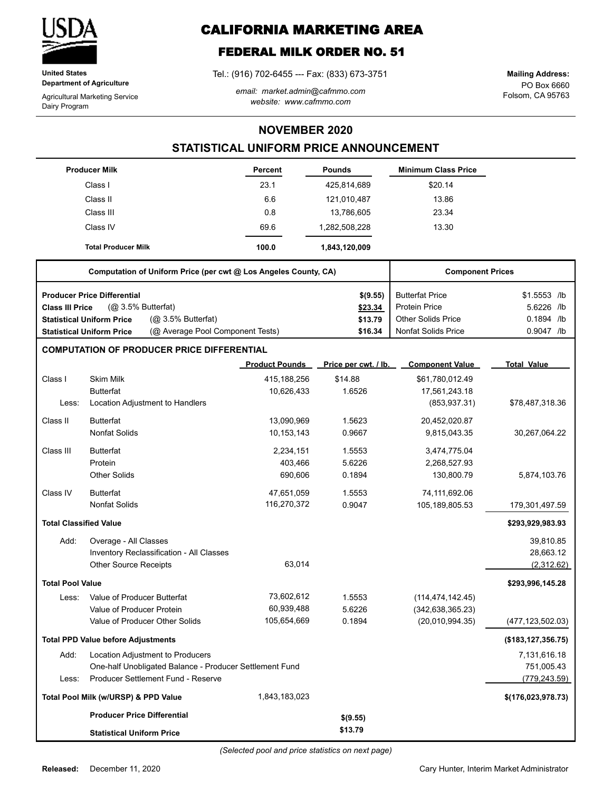

**United States Department of Agriculture**

Agricultural Marketing Service Dairy Program

# **CALIFORNIA MARKETING AREA**

## **FEDERAL MILK ORDER NO. 51**

Tel.: (916) 702-6455 --- Fax: (833) 673-3751

*email: market.admin@cafmmo.com website: www.cafmmo.com*

PO Box 6660 Folsom, CA 95763 **Mailing Address:**

### **NOVEMBER 2020**

### **STATISTICAL UNIFORM PRICE ANNOUNCEMENT**

|                               | <b>Producer Milk</b>                      |                                                                 | Percent               | <b>Pounds</b>        | <b>Minimum Class Price</b> |                      |
|-------------------------------|-------------------------------------------|-----------------------------------------------------------------|-----------------------|----------------------|----------------------------|----------------------|
|                               | Class I                                   |                                                                 | 23.1                  | 425,814,689          | \$20.14                    |                      |
|                               | Class II                                  |                                                                 | 6.6                   | 121,010,487          | 13.86                      |                      |
|                               | Class III                                 |                                                                 | 0.8                   | 13,786,605           | 23.34                      |                      |
|                               | Class IV                                  |                                                                 | 69.6                  | 1,282,508,228        | 13.30                      |                      |
|                               | <b>Total Producer Milk</b>                |                                                                 | 100.0                 | 1,843,120,009        |                            |                      |
|                               |                                           | Computation of Uniform Price (per cwt @ Los Angeles County, CA) |                       |                      | <b>Component Prices</b>    |                      |
|                               | <b>Producer Price Differential</b>        |                                                                 |                       | \$(9.55)             | <b>Butterfat Price</b>     | \$1.5553 /lb         |
| <b>Class III Price</b>        | (@ 3.5% Butterfat)                        |                                                                 |                       | \$23.34              | <b>Protein Price</b>       | 5.6226 /lb           |
|                               | <b>Statistical Uniform Price</b>          | (@ 3.5% Butterfat)                                              |                       | \$13.79              | <b>Other Solids Price</b>  | 0.1894 /lb           |
|                               | <b>Statistical Uniform Price</b>          | (@ Average Pool Component Tests)                                |                       | \$16.34              | <b>Nonfat Solids Price</b> | 0.9047 /lb           |
|                               |                                           | <b>COMPUTATION OF PRODUCER PRICE DIFFERENTIAL</b>               |                       |                      |                            |                      |
|                               |                                           |                                                                 | <b>Product Pounds</b> | Price per cwt. / lb. | <b>Component Value</b>     | <b>Total Value</b>   |
| Class I                       | <b>Skim Milk</b>                          |                                                                 | 415, 188, 256         | \$14.88              | \$61,780,012.49            |                      |
|                               | <b>Butterfat</b>                          |                                                                 | 10,626,433            | 1.6526               | 17,561,243.18              |                      |
| Less:                         |                                           | Location Adjustment to Handlers                                 |                       |                      | (853, 937.31)              | \$78,487,318.36      |
| Class II                      | <b>Butterfat</b>                          |                                                                 | 13,090,969            | 1.5623               | 20,452,020.87              |                      |
|                               | <b>Nonfat Solids</b>                      |                                                                 | 10,153,143            | 0.9667               | 9,815,043.35               | 30,267,064.22        |
| Class III                     | <b>Butterfat</b>                          |                                                                 | 2,234,151             | 1.5553               | 3,474,775.04               |                      |
|                               | Protein                                   |                                                                 | 403,466               | 5.6226               | 2,268,527.93               |                      |
|                               | <b>Other Solids</b>                       |                                                                 | 690,606               | 0.1894               | 130,800.79                 | 5,874,103.76         |
| Class IV                      | <b>Butterfat</b>                          |                                                                 | 47,651,059            | 1.5553               | 74,111,692.06              |                      |
|                               | <b>Nonfat Solids</b>                      |                                                                 | 116,270,372           | 0.9047               | 105,189,805.53             | 179,301,497.59       |
| <b>Total Classified Value</b> |                                           |                                                                 |                       |                      |                            | \$293,929,983.93     |
| Add:                          | Overage - All Classes                     |                                                                 |                       |                      |                            | 39,810.85            |
|                               |                                           | Inventory Reclassification - All Classes                        |                       |                      |                            | 28,663.12            |
|                               | <b>Other Source Receipts</b>              |                                                                 | 63,014                |                      |                            | (2,312.62)           |
| <b>Total Pool Value</b>       |                                           |                                                                 |                       |                      |                            | \$293,996,145.28     |
| Less:                         | Value of Producer Butterfat               |                                                                 | 73,602,612            | 1.5553               | (114, 474, 142.45)         |                      |
|                               | Value of Producer Protein                 |                                                                 | 60,939,488            | 5.6226               | (342, 638, 365.23)         |                      |
|                               | Value of Producer Other Solids            |                                                                 | 105,654,669           | 0.1894               | (20,010,994.35)            | (477, 123, 502.03)   |
|                               | <b>Total PPD Value before Adjustments</b> |                                                                 |                       |                      |                            | (\$183, 127, 356.75) |
| Add:                          |                                           | Location Adjustment to Producers                                |                       |                      |                            | 7,131,616.18         |
|                               |                                           | One-half Unobligated Balance - Producer Settlement Fund         |                       |                      |                            | 751,005.43           |
| Less:                         |                                           | Producer Settlement Fund - Reserve                              |                       |                      |                            | (779, 243.59)        |
|                               | Total Pool Milk (w/URSP) & PPD Value      |                                                                 | 1,843,183,023         |                      |                            | \$(176, 023, 978.73) |
|                               | <b>Producer Price Differential</b>        |                                                                 |                       | \$(9.55)             |                            |                      |
|                               | <b>Statistical Uniform Price</b>          |                                                                 |                       | \$13.79              |                            |                      |

Cary Hunter, Interim Market Administrator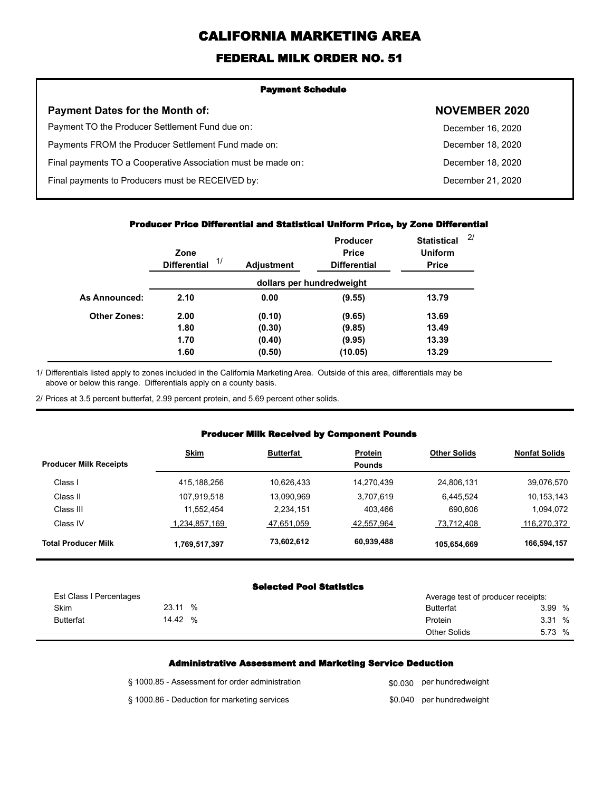# **CALIFORNIA MARKETING AREA**

## **FEDERAL MILK ORDER NO. 51**

| <b>Payment Schedule</b>                                      |                      |  |  |  |
|--------------------------------------------------------------|----------------------|--|--|--|
| <b>Payment Dates for the Month of:</b>                       | <b>NOVEMBER 2020</b> |  |  |  |
| Payment TO the Producer Settlement Fund due on:              | December 16, 2020    |  |  |  |
| Payments FROM the Producer Settlement Fund made on:          | December 18, 2020    |  |  |  |
| Final payments TO a Cooperative Association must be made on: | December 18, 2020    |  |  |  |
| Final payments to Producers must be RECEIVED by:             | December 21, 2020    |  |  |  |
|                                                              |                      |  |  |  |

#### **Producer Price Differential and Statistical Uniform Price, by Zone Differential**

|                     | Zone<br>1/<br><b>Differential</b> | <b>Adjustment</b> | <b>Producer</b><br><b>Price</b><br><b>Differential</b> | <b>Statistical</b><br><b>Uniform</b><br><b>Price</b> | 2/ |
|---------------------|-----------------------------------|-------------------|--------------------------------------------------------|------------------------------------------------------|----|
|                     |                                   |                   | dollars per hundredweight                              |                                                      |    |
| As Announced:       | 2.10                              | 0.00              | (9.55)                                                 | 13.79                                                |    |
| <b>Other Zones:</b> | 2.00                              | (0.10)            | (9.65)                                                 | 13.69                                                |    |
|                     | 1.80                              | (0.30)            | (9.85)                                                 | 13.49                                                |    |
|                     | 1.70                              | (0.40)            | (9.95)                                                 | 13.39                                                |    |
|                     | 1.60                              | (0.50)            | (10.05)                                                | 13.29                                                |    |

Differentials listed apply to zones included in the California Marketing Area. Outside of this area, differentials may be above or below this range. Differentials apply on a county basis. 1/

2/ Prices at 3.5 percent butterfat, 2.99 percent protein, and 5.69 percent other solids.

#### **Producer Milk Received by Component Pounds**

| <b>Producer Milk Receipts</b> | <b>Skim</b>   | <b>Butterfat</b> | <b>Protein</b><br><b>Pounds</b> | <b>Other Solids</b> | <b>Nonfat Solids</b> |
|-------------------------------|---------------|------------------|---------------------------------|---------------------|----------------------|
| Class I                       | 415,188,256   | 10,626,433       | 14,270,439                      | 24,806,131          | 39,076,570           |
| Class II                      | 107,919,518   | 13,090,969       | 3,707,619                       | 6.445.524           | 10,153,143           |
| Class III                     | 11,552,454    | 2,234,151        | 403,466                         | 690,606             | 1,094,072            |
| Class IV                      | 1,234,857,169 | 47,651,059       | 42,557,964                      | 73,712,408          | 116,270,372          |
| <b>Total Producer Milk</b>    | 1,769,517,397 | 73,602,612       | 60,939,488                      | 105,654,669         | 166,594,157          |

#### **Selected Pool Statistics**

| Est Class I Percentages |               | Average test of producer receipts: |        |  |
|-------------------------|---------------|------------------------------------|--------|--|
| Skim                    | 23.11<br>$\%$ | Butterfat                          | 3.99 % |  |
| <b>Butterfat</b>        | 14.42<br>%    | Protein                            | 3.31%  |  |
|                         |               | <b>Other Solids</b>                | 5.73 % |  |

#### **Administrative Assessment and Marketing Service Deduction**

| § 1000.85 - Assessment for order administration | \$0,030 per hundredweight |
|-------------------------------------------------|---------------------------|
| § 1000.86 - Deduction for marketing services    | \$0.040 per hundredweight |